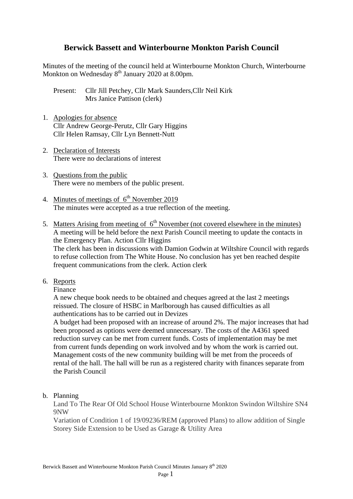# **Berwick Bassett and Winterbourne Monkton Parish Council**

Minutes of the meeting of the council held at Winterbourne Monkton Church, Winterbourne Monkton on Wednesday 8<sup>th</sup> January 2020 at 8.00pm.

Present: Cllr Jill Petchey, Cllr Mark Saunders,Cllr Neil Kirk Mrs Janice Pattison (clerk)

- 1. Apologies for absence Cllr Andrew George-Perutz, Cllr Gary Higgins Cllr Helen Ramsay, Cllr Lyn Bennett-Nutt
- 2. Declaration of Interests There were no declarations of interest
- 3. Questions from the public There were no members of the public present.
- 4. Minutes of meetings of  $6<sup>th</sup>$  November 2019 The minutes were accepted as a true reflection of the meeting.
- 5. Matters Arising from meeting of  $6<sup>th</sup>$  November (not covered elsewhere in the minutes) A meeting will be held before the next Parish Council meeting to update the contacts in the Emergency Plan. Action Cllr Higgins The clerk has been in discussions with Damion Godwin at Wiltshire Council with regards to refuse collection from The White House. No conclusion has yet ben reached despite frequent communications from the clerk. Action clerk
- 6. Reports
	- Finance

A new cheque book needs to be obtained and cheques agreed at the last 2 meetings reissued. The closure of HSBC in Marlborough has caused difficulties as all authentications has to be carried out in Devizes

A budget had been proposed with an increase of around 2%. The major increases that had been proposed as options were deemed unnecessary. The costs of the A4361 speed reduction survey can be met from current funds. Costs of implementation may be met from current funds depending on work involved and by whom the work is carried out. Management costs of the new community building will be met from the proceeds of rental of the hall. The hall will be run as a registered charity with finances separate from the Parish Council

b. Planning

Land To The Rear Of Old School House Winterbourne Monkton Swindon Wiltshire SN4 9NW

Variation of Condition 1 of 19/09236/REM (approved Plans) to allow addition of Single Storey Side Extension to be Used as Garage & Utility Area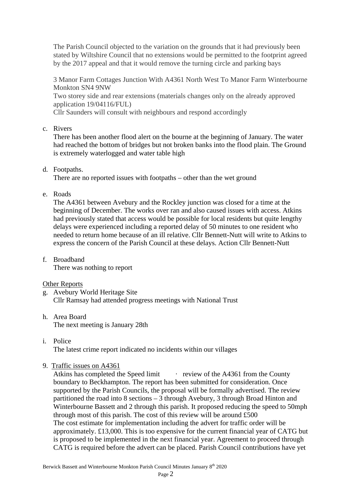The Parish Council objected to the variation on the grounds that it had previously been stated by Wiltshire Council that no extensions would be permitted to the footprint agreed by the 2017 appeal and that it would remove the turning circle and parking bays

3 Manor Farm Cottages Junction With A4361 North West To Manor Farm Winterbourne Monkton SN4 9NW

Two storey side and rear extensions (materials changes only on the already approved application 19/04116/FUL)

Cllr Saunders will consult with neighbours and respond accordingly

c. Rivers

There has been another flood alert on the bourne at the beginning of January. The water had reached the bottom of bridges but not broken banks into the flood plain. The Ground is extremely waterlogged and water table high

d. Footpaths.

There are no reported issues with footpaths – other than the wet ground

e. Roads

The A4361 between Avebury and the Rockley junction was closed for a time at the beginning of December. The works over ran and also caused issues with access. Atkins had previously stated that access would be possible for local residents but quite lengthy delays were experienced including a reported delay of 50 minutes to one resident who needed to return home because of an ill relative. Cllr Bennett-Nutt will write to Atkins to express the concern of the Parish Council at these delays. Action Cllr Bennett-Nutt

f. Broadband There was nothing to report

# Other Reports

- g. Avebury World Heritage Site Cllr Ramsay had attended progress meetings with National Trust
- h. Area Board The next meeting is January 28th
- i. Police

The latest crime report indicated no incidents within our villages

9. Traffic issues on A4361

Atkins has completed the Speed limit review of the A4361 from the County boundary to Beckhampton. The report has been submitted for consideration. Once supported by the Parish Councils, the proposal will be formally advertised. The review partitioned the road into 8 sections – 3 through Avebury, 3 through Broad Hinton and Winterbourne Bassett and 2 through this parish. It proposed reducing the speed to 50mph through most of this parish. The cost of this review will be around £500 The cost estimate for implementation including the advert for traffic order will be approximately. £13,000. This is too expensive for the current financial year of CATG but is proposed to be implemented in the next financial year. Agreement to proceed through CATG is required before the advert can be placed. Parish Council contributions have yet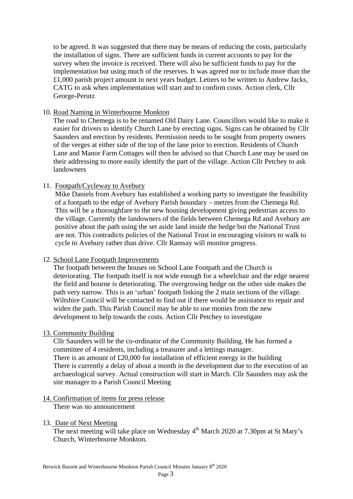to be agreed. It was suggested that there may be means of reducing the costs, particularly the installation of signs. There are sufficient funds in current accounts to pay for the survey when the invoice is received. There will also be sufficient funds to pay for the implementation but using much of the reserves. It was agreed not to include more than the £1,000 parish project amount in next years budget. Letters to be written to Andrew Jacks, CATG to ask when implementation will start and to confirm costs. Action clerk, Cllr George-Perutz

#### 10. Road Naming in Winterbourne Monkton

The road to Chemega is to be renamed Old Dairy Lane. Councillors would like to make it easier for drivers to identify Church Lane by erecting signs. Signs can be obtained by Cllr Saunders and erection by residents. Permission needs to be sought from property owners of the verges at either side of the top of the lane prior to erection. Residents of Church Lane and Manor Farm Cottages will then be advised so that Church Lane may be used on their addressing to more easily identify the part of the village. Action Cllr Petchey to ask landowners

#### 11. Footpath/Cycleway to Avebury

Mike Daniels from Avebury has established a working party to investigate the feasibility of a footpath to the edge of Avebury Parish boundary – metres from the Chemega Rd. This will be a thoroughfare to the new housing development giving pedestrian access to the village. Currently the landowners of the fields between Chemega Rd and Avebury are positive about the path using the set aside land inside the hedge but the National Trust are not. This contradicts policies of the National Trust in encouraging visitors to walk to cycle to Avebury rather than drive. Cllr Ramsay will monitor progress.

# 12. School Lane Footpath Improvements

The footpath between the houses on School Lane Footpath and the Church is deteriorating. The footpath itself is not wide enough for a wheelchair and the edge nearest the field and bourne is deteriorating. The overgrowing hedge on the other side makes the path very narrow. This is an 'urban' footpath linking the 2 main sections of the village. Wiltshire Council will be contacted to find out if there would be assistance to repair and widen the path. This Parish Council may be able to use monies from the new development to help towards the costs. Action Cllr Petchey to investigate

# 13. Community Building

Cllr Saunders will be the co-ordinator of the Community Building. He has formed a committee of 4 residents, including a treasurer and a lettings manager. There is an amount of  $£20,000$  for installation of efficient energy in the building There is currently a delay of about a month in the development due to the execution of an archaeological survey. Actual construction will start in March. Cllr Saunders may ask the site manager to a Parish Council Meeting

# 14. Confirmation of items for press release

There was no announcement

#### 13. Date of Next Meeting

The next meeting will take place on Wednesday  $4<sup>th</sup>$  March 2020 at 7.30pm at St Mary's Church, Winterbourne Monkton.